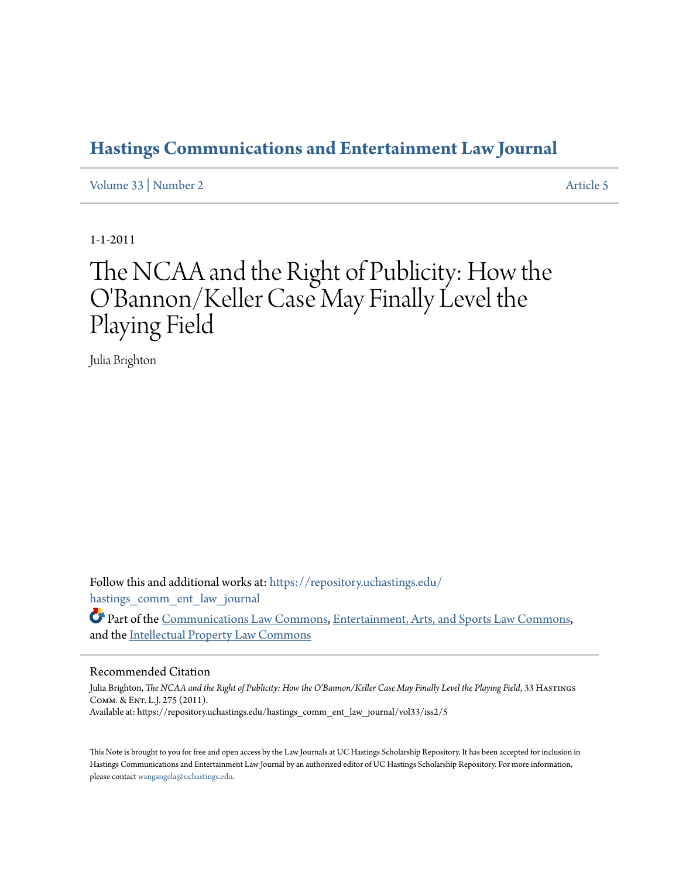# **[Hastings Communications and Entertainment Law Journal](https://repository.uchastings.edu/hastings_comm_ent_law_journal?utm_source=repository.uchastings.edu%2Fhastings_comm_ent_law_journal%2Fvol33%2Fiss2%2F5&utm_medium=PDF&utm_campaign=PDFCoverPages)**

[Volume 33](https://repository.uchastings.edu/hastings_comm_ent_law_journal/vol33?utm_source=repository.uchastings.edu%2Fhastings_comm_ent_law_journal%2Fvol33%2Fiss2%2F5&utm_medium=PDF&utm_campaign=PDFCoverPages) | [Number 2](https://repository.uchastings.edu/hastings_comm_ent_law_journal/vol33/iss2?utm_source=repository.uchastings.edu%2Fhastings_comm_ent_law_journal%2Fvol33%2Fiss2%2F5&utm_medium=PDF&utm_campaign=PDFCoverPages) [Article 5](https://repository.uchastings.edu/hastings_comm_ent_law_journal/vol33/iss2/5?utm_source=repository.uchastings.edu%2Fhastings_comm_ent_law_journal%2Fvol33%2Fiss2%2F5&utm_medium=PDF&utm_campaign=PDFCoverPages)

1-1-2011

# The NCAA and the Right of Publicity: How the O'Bannon/Keller Case May Finally Level the Playing Field

Julia Brighton

Follow this and additional works at: [https://repository.uchastings.edu/](https://repository.uchastings.edu/hastings_comm_ent_law_journal?utm_source=repository.uchastings.edu%2Fhastings_comm_ent_law_journal%2Fvol33%2Fiss2%2F5&utm_medium=PDF&utm_campaign=PDFCoverPages) [hastings\\_comm\\_ent\\_law\\_journal](https://repository.uchastings.edu/hastings_comm_ent_law_journal?utm_source=repository.uchastings.edu%2Fhastings_comm_ent_law_journal%2Fvol33%2Fiss2%2F5&utm_medium=PDF&utm_campaign=PDFCoverPages)

Part of the [Communications Law Commons,](http://network.bepress.com/hgg/discipline/587?utm_source=repository.uchastings.edu%2Fhastings_comm_ent_law_journal%2Fvol33%2Fiss2%2F5&utm_medium=PDF&utm_campaign=PDFCoverPages) [Entertainment, Arts, and Sports Law Commons,](http://network.bepress.com/hgg/discipline/893?utm_source=repository.uchastings.edu%2Fhastings_comm_ent_law_journal%2Fvol33%2Fiss2%2F5&utm_medium=PDF&utm_campaign=PDFCoverPages) and the [Intellectual Property Law Commons](http://network.bepress.com/hgg/discipline/896?utm_source=repository.uchastings.edu%2Fhastings_comm_ent_law_journal%2Fvol33%2Fiss2%2F5&utm_medium=PDF&utm_campaign=PDFCoverPages)

#### Recommended Citation

Julia Brighton, *The NCAA and the Right of Publicity: How the O'Bannon/Keller Case May Finally Level the Playing Field*, 33 HASTINGS Comm. & Ent. L.J. 275 (2011). Available at: https://repository.uchastings.edu/hastings\_comm\_ent\_law\_journal/vol33/iss2/5

This Note is brought to you for free and open access by the Law Journals at UC Hastings Scholarship Repository. It has been accepted for inclusion in Hastings Communications and Entertainment Law Journal by an authorized editor of UC Hastings Scholarship Repository. For more information, please contact [wangangela@uchastings.edu.](mailto:wangangela@uchastings.edu)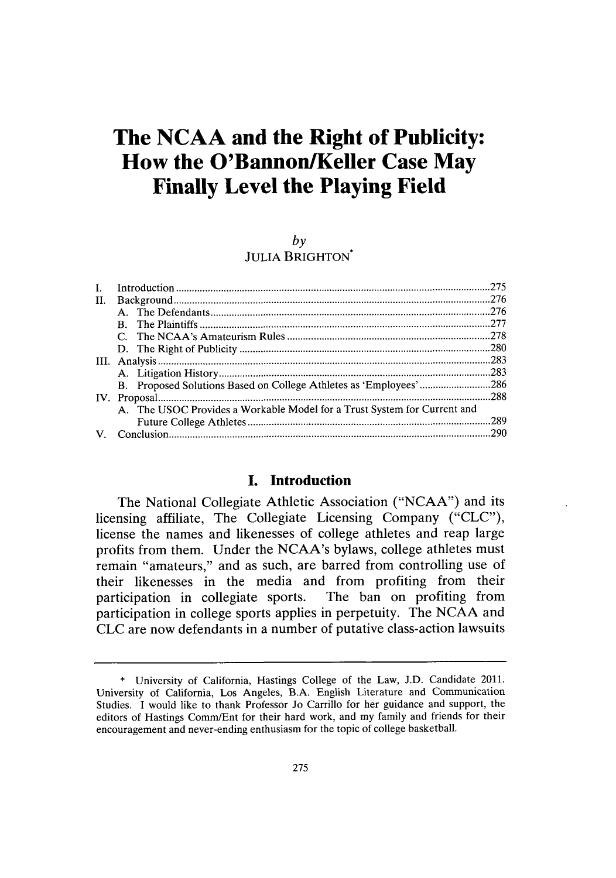# **The NCAA and the Right of Publicity: How the O'Bannon/Keller Case May Finally Level the Playing Field**

#### *by*

**JULIA** BRIGHTON

| Ι. |                                                                          | .275 |
|----|--------------------------------------------------------------------------|------|
| H. |                                                                          | .276 |
|    |                                                                          | .276 |
|    |                                                                          |      |
|    |                                                                          |      |
|    |                                                                          |      |
|    |                                                                          | .283 |
|    |                                                                          | .283 |
|    | B. Proposed Solutions Based on College Athletes as 'Employees' 286       |      |
|    |                                                                          |      |
|    | A. The USOC Provides a Workable Model for a Trust System for Current and |      |
|    |                                                                          | .289 |
|    |                                                                          |      |
|    |                                                                          |      |

## **I. Introduction**

The National Collegiate Athletic Association **("NCAA")** and its licensing affiliate, The Collegiate Licensing Company **("CLC"),** license the names and likenesses of college athletes and reap large profits from them. Under the NCAA's bylaws, college athletes must remain "amateurs," and as such, are barred from controlling use of their likenesses in the media and from profiting from their participation in collegiate sports. The ban on profiting from participation in college sports applies in perpetuity. The **NCAA** and **CLC** are now defendants in a number of putative class-action lawsuits

**<sup>\*</sup>** University of California, Hastings College of the Law, **J.D.** Candidate 2011. University of California, Los Angeles, B.A. English Literature and Communication Studies. **I** would like to thank Professor Jo Carrillo for her guidance and support, the editors of Hastings Comm/Ent for their hard work, and my family and friends for their encouragement and never-ending enthusiasm for the topic of college basketball.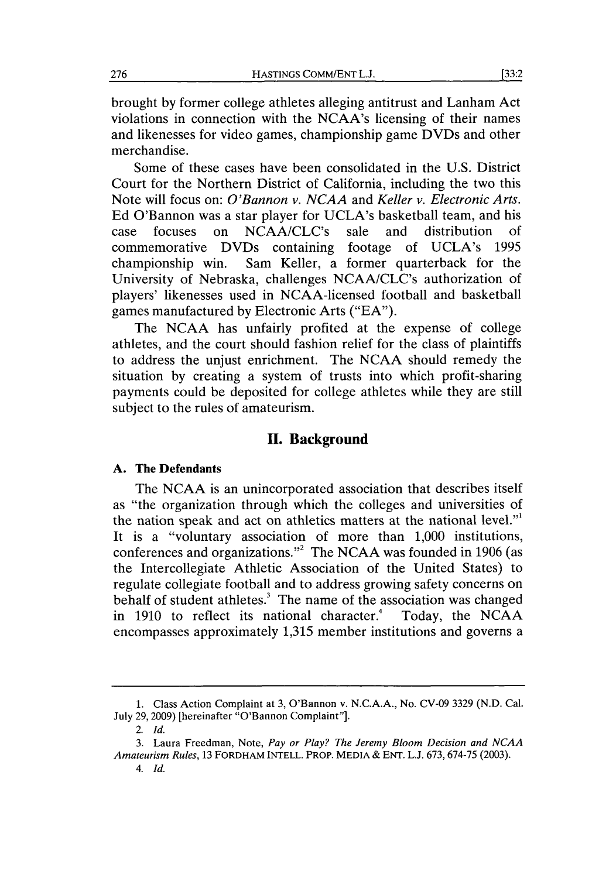brought **by** former college athletes alleging antitrust and Lanham Act violations in connection with the NCAA's licensing of their names and likenesses for video games, championship game DVDs and other merchandise.

Some of these cases have been consolidated in the **U.S.** District Court for the Northern District of California, including the two this Note will focus on: *O'Bannon v. NCAA and Keller v. Electronic Arts.* **Ed** O'Bannon was a star player for UCLA's basketball team, and his case focuses on NCAA/CLC's sale and distribution of commemorative DVDs containing footage of UCLA's **1995** championship win. Sam Keller, a former quarterback for the University of Nebraska, challenges NCAA/CLC's authorization of players' likenesses used in NCAA-licensed football and basketball games manufactured **by** Electronic Arts **("EA").**

The **NCAA** has unfairly profited at the expense of college athletes, and the court should fashion relief for the class of plaintiffs to address the unjust enrichment. The **NCAA** should remedy the situation **by** creating a system of trusts into which profit-sharing payments could be deposited for college athletes while they are still subject to the rules of amateurism.

## **II. Background**

#### **A. The Defendants**

The **NCAA** is an unincorporated association that describes itself as "the organization through which the colleges and universities of the nation speak and act on athletics matters at the national level."' It is a "voluntary association of more than **1,000** institutions, conferences and organizations."2 The **NCAA** was founded in **1906** (as the Intercollegiate Athletic Association of the United States) to regulate collegiate football and to address growing safety concerns on behalf of student athletes.<sup>3</sup> The name of the association was changed<br>in 1910 to reflect its national character.<sup>4</sup> Today, the NCAA in 1910 to reflect its national character.<sup>4</sup> encompasses approximately **1,315** member institutions and governs a

**<sup>1.</sup>** Class Action Complaint at **3,** O'Bannon v. **N.C.A.A.,** No. **CV-09 3329 (N.D.** Cal. July **29, 2009)** [hereinafter "O'Bannon Complaint"].

*<sup>2.</sup> Id.*

**<sup>3.</sup>** Laura Freedman, Note, *Pay or Play? The Jeremy Bloom Decision and NCAA Amateurism Rules,* **13 FORDHAM INTELL. PROP. MEDIA & ENT. L.J. 673, 674-75 (2003).**

*<sup>4.</sup> Id.*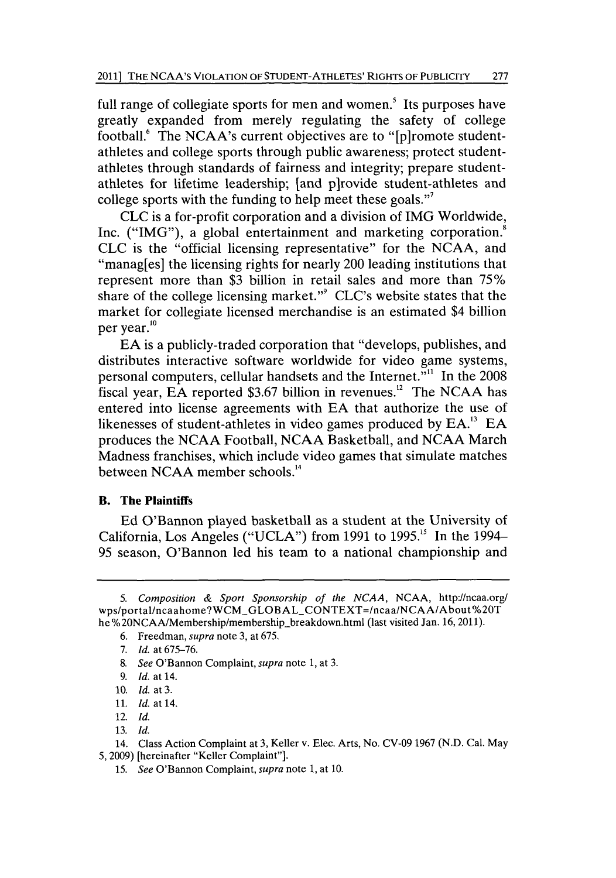full range of collegiate sports for men and women.' Its purposes have greatly expanded from merely regulating the safety of college football.' The NCAA's current objectives are to "[p]romote studentathletes and college sports through public awareness; protect studentathletes through standards of fairness and integrity; prepare studentathletes for lifetime leadership; [and p]rovide student-athletes and college sports with the funding to help meet these goals."'

**CLC** is a for-profit corporation and a division of **IMG** Worldwide, Inc. ("IMG"), a global entertainment and marketing corporation.<sup>8</sup> **CLC** is the "official licensing representative" for the **NCAA,** and "manag[es] the licensing rights for nearly 200 leading institutions that represent more than **\$3** billion in retail sales and more than *75%* share of the college licensing market."' CLC's website states that the market for collegiate licensed merchandise is an estimated \$4 billion per year.<sup>10</sup>

**EA** is a publicly-traded corporation that "develops, publishes, and distributes interactive software worldwide for video game systems, personal computers, cellular handsets and the Internet."" In the **2008** fiscal year, **EA** reported \$3.67 billion in revenues.<sup>12</sup> The NCAA has entered into license agreements with **EA** that authorize the use of likenesses of student-athletes in video games produced **by EA.13 EA** produces the **NCAA** Football, **NCAA** Basketball, and **NCAA** March Madness franchises, which include video games that simulate matches between **NCAA** member schools. <sup>4</sup>

## B. **The Plaintiffs**

**Ed** O'Bannon played basketball as a student at the University of California, Los Angeles **("UCLA")** from **1991** to *1995."* In the 1994- *95* season, O'Bannon led his team to a national championship and

- *6.* Freedman, *supra* note **3,** at **675.**
- *7. Id.* at **675-76.**
- **8.** *See* O'Bannon Complaint, *supra* note **1,** at **3.**
- *9. Id.* at 14.
- **10.** *Id.* at **3.**
- **11.** *Id.* at 14.
- 12. *Id.*
- **13.** *Id.*

*<sup>5.</sup> Composition & Sport Sponsorship of the NCAA,* **NCAA,** http://ncaa.org/ wps/portal/ncaahome?WCM\_GLOBAL\_CONTEXT=/ncaa/NCAA/About%20T he%20NCAA/Membership/membership\_breakdown.html (last visited Jan. 16, 2011).

**<sup>14.</sup>** Class Action Complaint at **3,** Keller v. Elec. Arts, No. **CV-09 1967 (N.D.** Cal. May **5, 2009) [hereinafter "Keller Complaint"].**

*<sup>15.</sup> See* O'Bannon Complaint, *supra* note **1,** at **10.**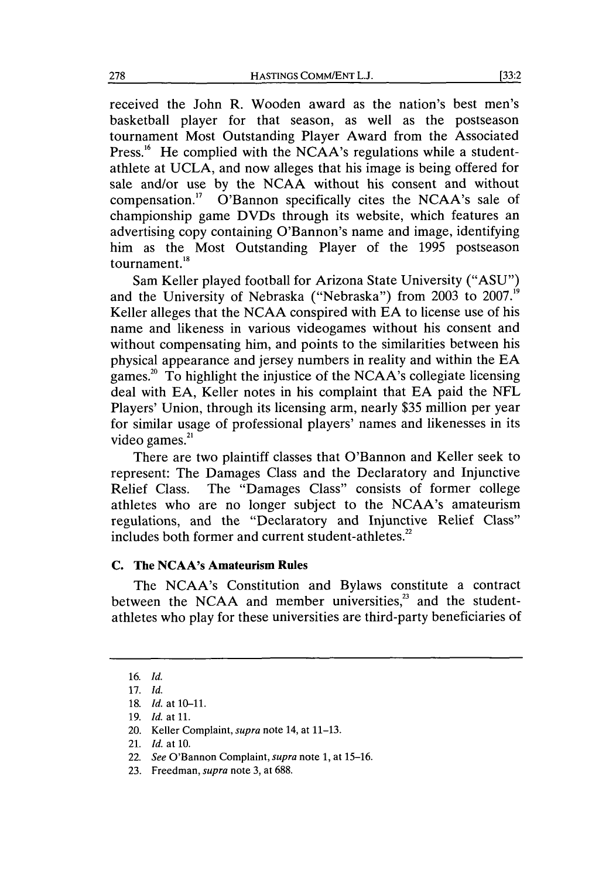received the John R. Wooden award as the nation's best men's basketball player for that season, as well as the postseason tournament Most Outstanding Player Award from the Associated Press.<sup>16</sup> He complied with the NCAA's regulations while a studentathlete at **UCLA,** and now alleges that his image is being offered for sale and/or use **by** the **NCAA** without his consent and without compensation." O'Bannon specifically cites the NCAA's sale of championship game DVDs through its website, which features an advertising copy containing O'Bannon's name and image, identifying him as the Most Outstanding Player of the **1995** postseason tournament. $18$ 

Sam Keller played football for Arizona State University **("ASU")** and the University of Nebraska ("Nebraska") from **2003** to **2007."'** Keller alleges that the **NCAA** conspired with **EA** to license use of his name and likeness in various videogames without his consent and without compensating him, and points to the similarities between his physical appearance and jersey numbers in reality and within the **EA** games. 20 To highlight the injustice of the NCAA's collegiate licensing deal with **EA,** Keller notes in his complaint that **EA** paid the **NFL** Players' Union, through its licensing arm, nearly **\$35** million per year for similar usage of professional players' names and likenesses in its video games. $^{21}$ 

There are two plaintiff classes that O'Bannon and Keller seek to represent: The Damages Class and the Declaratory and Injunctive Relief Class. The "Damages Class" consists of former college athletes who are no longer subject to the NCAA's amateurism regulations, and the "Declaratory and Injunctive Relief Class" includes both former and current student-athletes.<sup>22</sup>

### **C.** The NCAA's Amateurism Rules

The NCAA's Constitution and Bylaws constitute a contract between the NCAA and member universities, $2<sup>3</sup>$  and the studentathletes who play for these universities are third-party beneficiaries of

**<sup>16.</sup>** *Id.*

**<sup>17.</sup>** *Id.*

**<sup>18.</sup>** *Id.* at **10-11.**

**<sup>19.</sup>** *Id.* at **11.**

<sup>20.</sup> Keller Complaint, supra note 14, at **11-13.**

<sup>21.</sup> *Id.* at **10.**

<sup>22.</sup> *See* O'Bannon Complaint, *supra note* **1,** at **15-16.**

**<sup>23.</sup>** Freedman, *supra* note **3,** at **688.**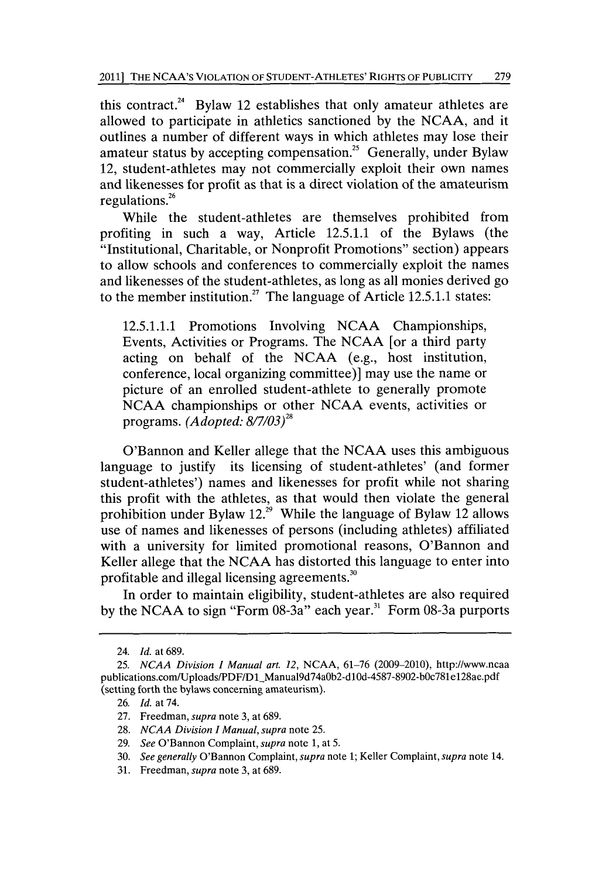this contract.<sup>24</sup> Bylaw 12 establishes that only amateur athletes are allowed to participate in athletics sanctioned **by** the **NCAA,** and it outlines a number of different ways in which athletes may lose their amateur status by accepting compensation.<sup>25</sup> Generally, under Bylaw 12, student-athletes may not commercially exploit their own names and likenesses for profit as that is a direct violation of the amateurism regulations.26

While the student-athletes are themselves prohibited from profiting in such a way, Article **12.5.1.1** of the Bylaws (the "Institutional, Charitable, or Nonprofit Promotions" section) appears to allow schools and conferences to commercially exploit the names and likenesses of the student-athletes, as long as all monies derived go to the member institution.27 The language of Article **12.5.1.1** states:

**12.5.1.1.1** Promotions Involving **NCAA** Championships, Events, Activities or Programs. The **NCAA** [or a third party acting on behalf of the **NCAA** (e.g., host institution, conference, local organizing committee)] may use the name or picture of an enrolled student-athlete to generally promote **NCAA** championships or other **NCAA** events, activities or programs. *(Adopted: 8/7/03)*

O'Bannon and Keller allege that the **NCAA** uses this ambiguous language to justify its licensing of student-athletes' (and former student-athletes') names and likenesses for profit while not sharing this profit with the athletes, as that would then violate the general prohibition under Bylaw 12.<sup>29</sup> While the language of Bylaw 12 allows use of names and likenesses of persons (including athletes) affiliated with a university for limited promotional reasons, O'Bannon and Keller allege that the **NCAA** has distorted this language to enter into profitable and illegal licensing agreements."

In order to maintain eligibility, student-athletes are also required by the NCAA to sign "Form 08-3a" each year.<sup>31</sup> Form 08-3a purports

<sup>24.</sup> *Id. at* **689.**

*<sup>25.</sup> NCAA Division I Manual art. 12,* **NCAA, 61-76 (2009-2010),** http://www.ncaa publications.com/Uploads/PDF/D1\_Manual9d74a0b2-d10d-4587-8902-b0c781e128ae.pdf (setting forth the bylaws concerning amateurism).

**<sup>26.</sup>** *Id.* at 74.

**<sup>27.</sup>** Freedman, *supra* note **3,** at **689.**

**<sup>28.</sup>** *NCAA Division I Manual, supra* note **25.**

**<sup>29.</sup>** *See* O'Bannon Complaint, *supra* note **1,** at **5.**

**<sup>30.</sup>** *See generally* O'Bannon Complaint, *supra* note **1;** Keller Complaint, *supra* note 14.

**<sup>31.</sup>** Freedman, *supra* note **3,** at **689.**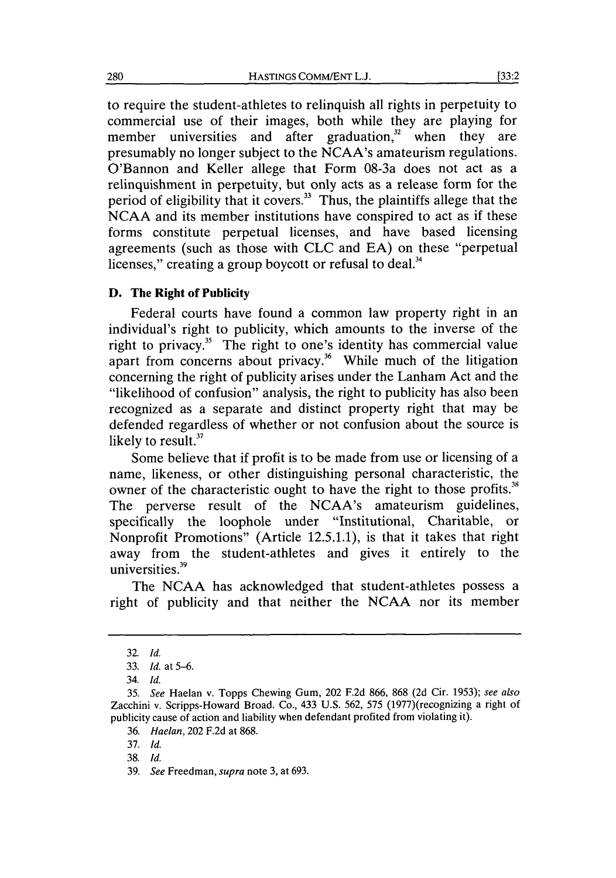to require the student-athletes to relinquish all rights in perpetuity to commercial use of their images, both while they are playing for member universities and after graduation, $3^2$  when they are presumably no longer subject to the NCAA's amateurism regulations. O'Bannon and Keller allege that Form 08-3a does not act as a relinquishment in perpetuity, but only acts as a release form for the period of eligibility that it covers.<sup>33</sup> Thus, the plaintiffs allege that the **NCAA** and its member institutions have conspired to act as if these forms constitute perpetual licenses, and have based licensing agreements (such as those with **CLC** and **EA)** on these "perpetual licenses," creating a group boycott or refusal to deal.<sup>34</sup>

#### **D. The Right of Publicity**

Federal courts have found a common law property right in an individual's right to publicity, which amounts to the inverse of the right to privacy.<sup>35</sup> The right to one's identity has commercial value apart from concerns about privacy.<sup>36</sup> While much of the litigation concerning the right of publicity arises under the Lanham Act and the "likelihood of confusion" analysis, the right to publicity has also been recognized as a separate and distinct property right that may be defended regardless of whether or not confusion about the source is likely to result.<sup>37</sup>

Some believe that if profit is to be made from use or licensing of a name, likeness, or other distinguishing personal characteristic, the owner of the characteristic ought to have the right to those profits.<sup>38</sup> The perverse result of the NCAA's amateurism guidelines, specifically the loophole under "Institutional, Charitable, or Nonprofit Promotions" (Article **12.5.1.1),** is that it takes that right away from the student-athletes and gives it entirely to the universities.<sup>39</sup>

The **NCAA** has acknowledged that student-athletes possess a right of publicity and that neither the **NCAA** nor its member

**<sup>32.</sup>** *Id.*

**<sup>33.</sup>** *Id. at* **5-6.**

*<sup>34.</sup> Id.*

*<sup>35.</sup> See* Haelan v. Topps Chewing Gum, 202 **F.2d 866, 868 (2d** Cir. **1953);** *see also* Zacchini v. Scripps-Howard Broad. Co., 433 **U.S. 562, 575** (1977)(recognizing a right of publicity cause of action and liability when defendant profited from violating it).

*<sup>36.</sup> Haelan,* 202 **F.2d** at **868.**

**<sup>37.</sup>** *Id.*

**<sup>38.</sup>** *Id.*

*<sup>39.</sup> See Freedman, supra* note **3,** at **693.**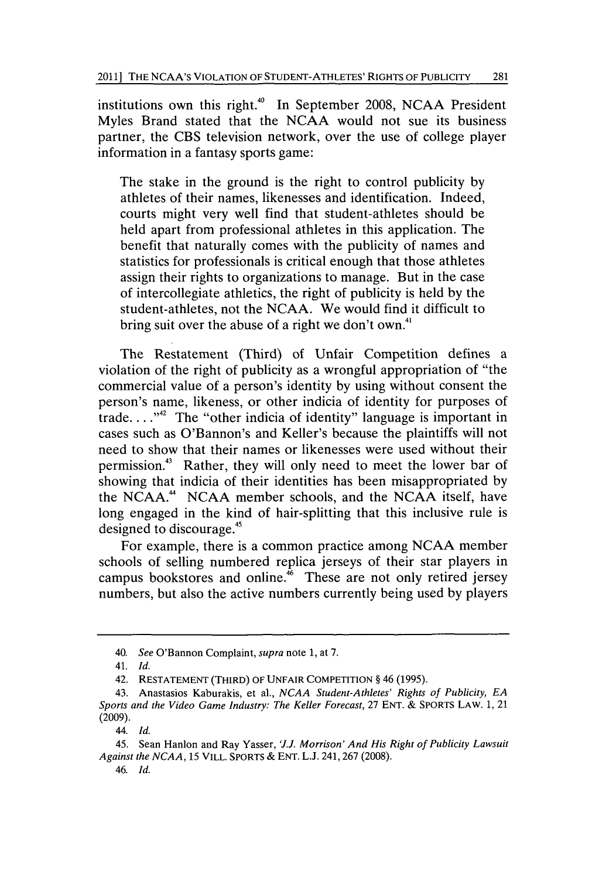institutions own this right.<sup>40</sup> In September 2008, NCAA President Myles Brand stated that the **NCAA** would not sue its business partner, the **CBS** television network, over the use of college player information in a fantasy sports game:

The stake in the ground is the right to control publicity **by** athletes of their names, likenesses and identification. Indeed, courts might very well find that student-athletes should be held apart from professional athletes in this application. The benefit that naturally comes with the publicity of names and statistics for professionals is critical enough that those athletes assign their rights to organizations to manage. But in the case of intercollegiate athletics, the right of publicity is held **by** the student-athletes, not the **NCAA.** We would find it difficult to bring suit over the abuse of a right we don't own.<sup>41</sup>

The Restatement (Third) of Unfair Competition defines a violation of the right of publicity as a wrongful appropriation of "the commercial value of a person's identity **by** using without consent the person's name, likeness, or other indicia of identity for purposes of trade. **. . ."42** The "other indicia of identity" language is important in cases such as O'Bannon's and Keller's because the plaintiffs will not need to show that their names or likenesses were used without their permission.43 Rather, they will only need to meet the lower bar of showing that indicia of their identities has been misappropriated **by** the **NCAA." NCAA** member schools, and the **NCAA** itself, have long engaged in the kind of hair-splitting that this inclusive rule is designed to discourage.45

For example, there is a common practice among **NCAA** member schools of selling numbered replica jerseys of their star players in campus bookstores and online. $^{46}$  These are not only retired jersey numbers, but also the active numbers currently being used **by** players

**46.** *Id.*

*<sup>40.</sup> See* O'Bannon Complaint, *supra* note **1,** at **7.**

*<sup>41.</sup> Id.*

**<sup>42.</sup> RESTATEMENT (THIRD) OF UNFAIR COMPETITION §** 46 **(1995).**

**<sup>43.</sup> Anastasios Kaburakis, et al.,** *NCAA Student-Athletes' Rights of Publicity, EA Sports and the Video Game Industry: The Keller Forecast,* **27 ENT. & SPORTS LAW. 1, 21 (2009).**

**<sup>44.</sup>** *Id.*

**<sup>45.</sup> Sean Hanlon and Ray Yasser,** *'J.J. Morrison' And His Right of Publicity Lawsuit Against the NCAA,* **15 VILL. SPORTS & ENT. L.J. 241, 267 (2008).**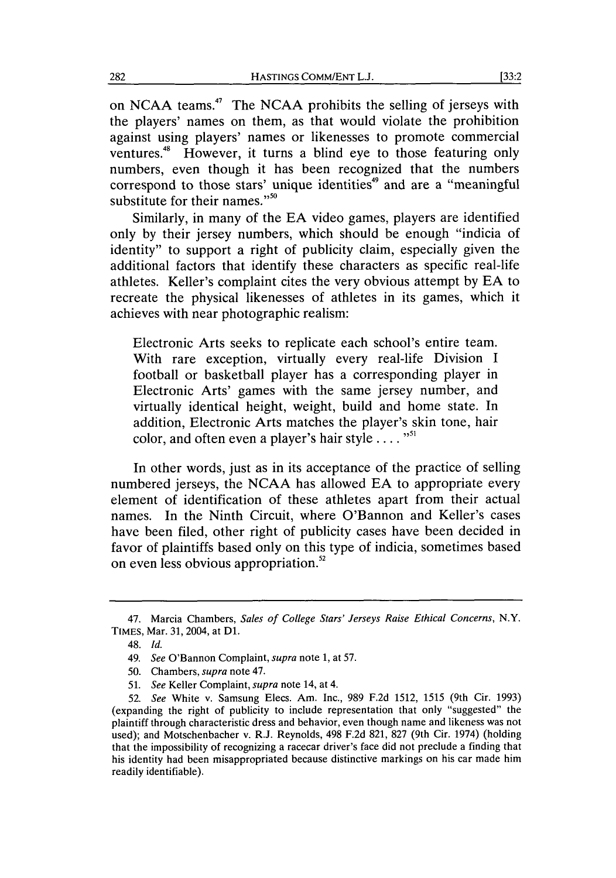on **NCAA** teams.47 The **NCAA** prohibits the selling of jerseys with the players' names on them, as that would violate the prohibition against using players' names or likenesses to promote commercial ventures.<sup>48</sup> However, it turns a blind eye to those featuring only numbers, even though it has been recognized that the numbers correspond to those stars' unique identities<sup>49</sup> and are a "meaningful substitute for their names." $50$ 

Similarly, in many of the **EA** video games, players are identified only **by** their jersey numbers, which should be enough "indicia of identity" to support a right of publicity claim, especially given the additional factors that identify these characters as specific real-life athletes. Keller's complaint cites the very obvious attempt **by EA** to recreate the physical likenesses of athletes in its games, which it achieves with near photographic realism:

Electronic Arts seeks to replicate each school's entire team. With rare exception, virtually every real-life Division **I** football or basketball player has a corresponding player in Electronic Arts' games with the same jersey number, and virtually identical height, weight, build and home state. In addition, Electronic Arts matches the player's skin tone, hair color, and often even a player's hair style **. . ."**

In other words, just as in its acceptance of the practice of selling numbered jerseys, the **NCAA** has allowed **EA** to appropriate every element of identification of these athletes apart from their actual names. In the Ninth Circuit, where O'Bannon and Keller's cases have been filed, other right of publicity cases have been decided in favor of plaintiffs based only on this type of indicia, sometimes based on even less obvious appropriation.<sup>52</sup>

**51.** *See* Keller Complaint, *supra* note 14, at 4.

*<sup>47.</sup>* Marcia Chambers, *Sales of College Stars' Jerseys Raise Ethical Concerns, N.Y.* TIMES, Mar. **31,** 2004, at **D1.**

<sup>48.</sup> *Id.*

<sup>49.</sup> *See* O'Bannon Complaint, *supra note* **1,** at **57.**

*<sup>50.</sup>* Chambers, *supra* note 47.

**<sup>52.</sup>** *See* White v. Samsung Elecs. Am. Inc., **989 F.2d 1512, 1515** (9th Cir. **1993)** (expanding the right of publicity to include representation that only "suggested" the plaintiff through characteristic dress and behavior, even though name and likeness was not used); and Motschenbacher v. R.J. Reynolds, 498 **F.2d 821, 827** (9th Cir. 1974) (holding that the impossibility of recognizing a racecar driver's face did not preclude a finding that his identity had been misappropriated because distinctive markings on his car made him readily identifiable).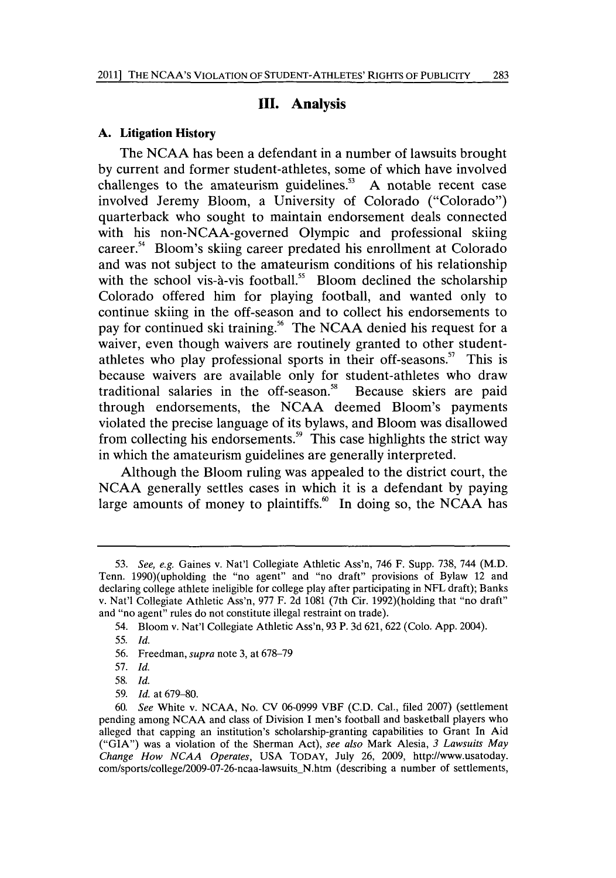#### **III. Analysis**

#### **A. Litigation History**

**The NCAA has** been a defendant in a number of lawsuits brought **by** current and former student-athletes, some of which have involved challenges to the amateurism guidelines.<sup>53</sup> A notable recent case involved Jeremy Bloom, a University of Colorado ("Colorado") quarterback who sought to maintain endorsement deals connected with his non-NCAA-governed Olympic and professional skiing career.<sup>54</sup> Bloom's skiing career predated his enrollment at Colorado and was not subject to the amateurism conditions of his relationship with the school vis-à-vis football.<sup>55</sup> Bloom declined the scholarship Colorado offered him for playing football, and wanted only to continue skiing in the off-season and to collect his endorsements to pay for continued ski training.<sup>56</sup> The NCAA denied his request for a waiver, even though waivers are routinely granted to other studentathletes who play professional sports in their off-seasons.<sup>57</sup> This is because waivers are available only for student-athletes who draw traditional salaries in the off-season.<sup>58</sup> Because skiers are paid through endorsements, the **NCAA** deemed Bloom's payments violated the precise language of its bylaws, and Bloom was disallowed from collecting his endorsements.<sup>59</sup> This case highlights the strict way in which the amateurism guidelines are generally interpreted.

Although the Bloom ruling was appealed to the district court, the **NCAA** generally settles cases in which it is a defendant **by** paying large amounts of money to plaintiffs.<sup>60</sup> In doing so, the NCAA has

*<sup>53.</sup> See, e.g.* Gaines v. Nat'l Collegiate Athletic Ass'n, 746 F. Supp. **738,** 744 (M.D. Tenn. 1990)(upholding the "no agent" and "no draft" provisions of Bylaw 12 and declaring college athlete ineligible for college play after participating in **NFL** draft); Banks v. Nat'l Collegiate Athletic Ass'n, **977** F. **2d 1081** (7th Cir. 1992)(holding that "no draft" and "no agent" rules do not constitute illegal restraint on trade).

<sup>54.</sup> Bloom v. Nat'l Collegiate Athletic Ass'n, **93** P. **3d 621, 622** (Colo. **App.** 2004).

**<sup>55.</sup>** *Id.*

**<sup>56.</sup>** Freedman, *supra* note **3,** at **678-79**

**<sup>57.</sup>** *Id.*

*<sup>58.</sup> Id.*

**<sup>59.</sup>** *Id.* at **679-80.**

**<sup>60.</sup>** *See* White v. **NCAA,** No. **CV 06-0999** VBF **(C.D.** Cal., filed **2007)** (settlement pending among **NCAA** and class of Division **I** men's football and basketball players who alleged that capping an institution's scholarship-granting capabilities to Grant In Aid **("GIA")** was a violation of the Sherman Act), *see also* Mark Alesia, *3 Lawsuits May Change How NCAA Operates,* **USA** TODAY, July **26, 2009,** http://www.usatoday. com/sports/college/2009-07-26-ncaa-lawsuits N.htm (describing a number of settlements,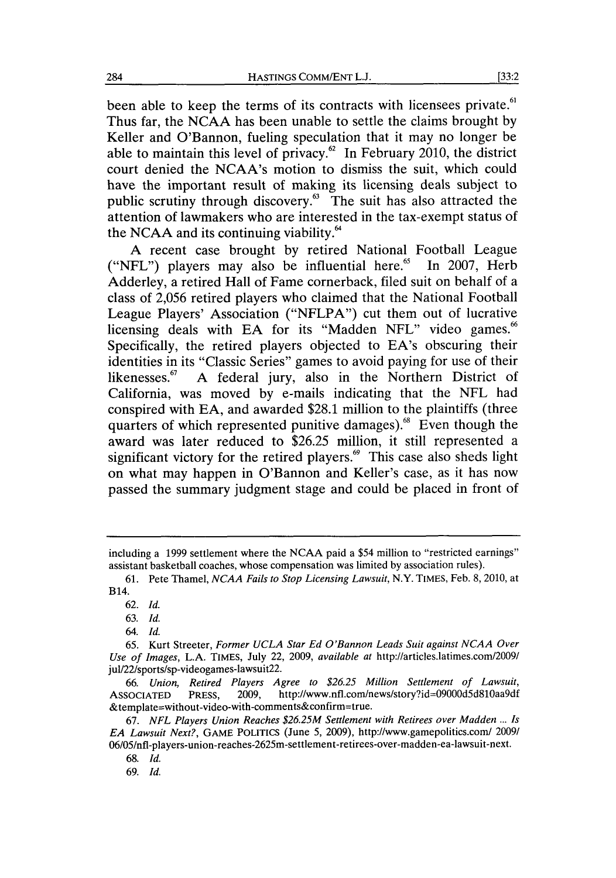been able to keep the terms of its contracts with licensees private.<sup>61</sup> Thus far, the **NCAA** has been unable to settle the claims brought **by** Keller and O'Bannon, fueling speculation that it may no longer be able to maintain this level of privacy. $62$  In February 2010, the district court denied the NCAA's motion to dismiss the suit, which could have the important result of making its licensing deals subject to public scrutiny through discovery.<sup>63</sup> The suit has also attracted the attention of lawmakers who are interested in the tax-exempt status of the NCAA and its continuing viability. $64$ 

**A** recent case brought **by** retired National Football League ("NFL") players may also be influential here.<sup>65</sup> In 2007, Herb Adderley, a retired Hall of Fame cornerback, filed suit on behalf of a class of **2,056** retired players who claimed that the National Football League Players' Association **("NFLPA")** cut them out of lucrative licensing deals with EA for its "Madden NFL" video games.<sup>66</sup> Specifically, the retired players objected to EA's obscuring their identities in its "Classic Series" games to avoid paying for use of their likenesses.<sup>67</sup> A federal jury, also in the Northern District of California, was moved **by** e-mails indicating that the **NFL** had conspired with **EA,** and awarded **\$28.1** million to the plaintiffs (three quarters of which represented punitive damages).<sup>68</sup> Even though the award was later reduced to **\$26.25** million, it still represented a significant victory for the retired players. $6$  This case also sheds light on what may happen in O'Bannon and Keller's case, as it has now passed the summary judgment stage and could be placed in front of

**69.** *Id.*

including a **1999** settlement where the **NCAA** paid a \$54 million to "restricted earnings" assistant basketball coaches, whose compensation was limited **by** association rules).

**<sup>61.</sup>** Pete Thamel, *NCAA Fails to Stop Licensing Lawsuit,* N.Y. **TIMES,** Feb. **8, 2010,** at B14.

**<sup>62.</sup>** *Id.*

**<sup>63.</sup>** *Id.*

*<sup>64.</sup> Id.*

**<sup>65.</sup>** Kurt Streeter, *Former UCLA Star Ed O'Bannon Leads Suit against NCAA Over Use of Images,* **L.A.** TIMES, July 22, **2009,** *available at* http://articles.latimes.com/2009/ jul/22/sports/sp-videogames-lawsuit <sup>22</sup> .

*<sup>66.</sup> Union, Retired Players Agree to \$26.25 Million Settlement of Lawsuit,* **ASSOCIATED** PRESS, **2009,** http://www.nfl.com/news/story?id=09000d5d8lOaa9df &template=without-video-with-comments&confirm=true.

**<sup>67.</sup>** *NFL Players Union Reaches \$26.25M Settlement with Retirees over Madden* **...** *Is EA Lawsuit Next?,* GAME **POLITICS** (June **5, 2009),** http://www.gamepolitics.com/ **2009/** 06/05/nfl-players-union-reaches-2625m-settlement-retirees-over-madden-ea-lawsuit-next.

**<sup>68.</sup>** *Id.*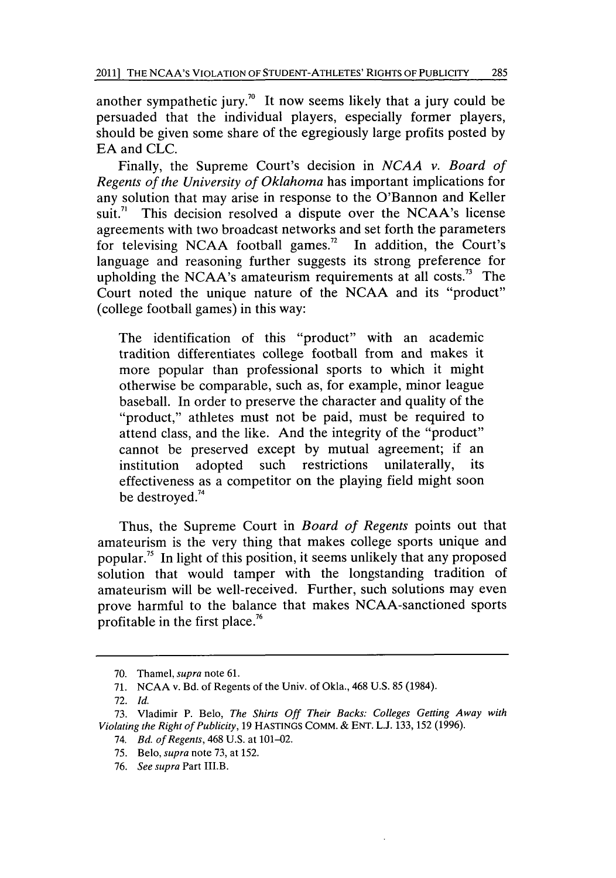another sympathetic jury.<sup>70</sup> It now seems likely that a jury could be persuaded that the individual players, especially former players, should be given some share of the egregiously large profits posted **by EA** and **CLC.**

Finally, the Supreme Court's decision in *NCAA v. Board of Regents of the University of Oklahoma* has important implications for any solution that may arise in response to the O'Bannon and Keller suit. $\frac{n}{1}$  This decision resolved a dispute over the NCAA's license agreements with two broadcast networks and set forth the parameters for televising NCAA football games.<sup>72</sup> In addition, the Court's language and reasoning further suggests its strong preference for upholding the NCAA's amateurism requirements at all costs." The Court noted the unique nature of the **NCAA** and its "product" (college football games) in this way:

The identification of this "product" with an academic tradition differentiates college football from and makes it more popular than professional sports to which it might otherwise be comparable, such as, for example, minor league baseball. In order to preserve the character and quality of the "product," athletes must not be paid, must be required to attend class, and the like. And the integrity of the "product" cannot be preserved except **by** mutual agreement; if an institution adopted such restrictions unilaterally, its effectiveness as a competitor on the playing field might soon be destroyed.<sup>74</sup>

Thus, the Supreme Court in *Board of Regents* points out that amateurism is the very thing that makes college sports unique and popular." In light of this position, it seems unlikely that any proposed solution that would tamper with the longstanding tradition of amateurism will be well-received. Further, such solutions may even prove harmful to the balance that makes NCAA-sanctioned sports profitable in the first place.<sup>76</sup>

**<sup>70.</sup>** Thamel, supra note **61.**

**<sup>71.</sup> NCAA** v. Bd. of Regents of the Univ. of Okla., 468 **U.S. 85** (1984).

**<sup>72.</sup>** *Id.*

**<sup>73.</sup>** Vladimir P. Belo, *The Shirts Off Their Backs: Colleges Getting Away with Violating the Right of Publicity,* **19** HASTINGS COMM. **& ENT. L.J. 133, 152 (1996).**

<sup>74.</sup> *Bd. of Regents,* 468 **U.S.** at 101-02.

**<sup>75.</sup>** Belo, *supra* note **73,** at **152.**

**<sup>76.</sup>** *See supra* Part III.B.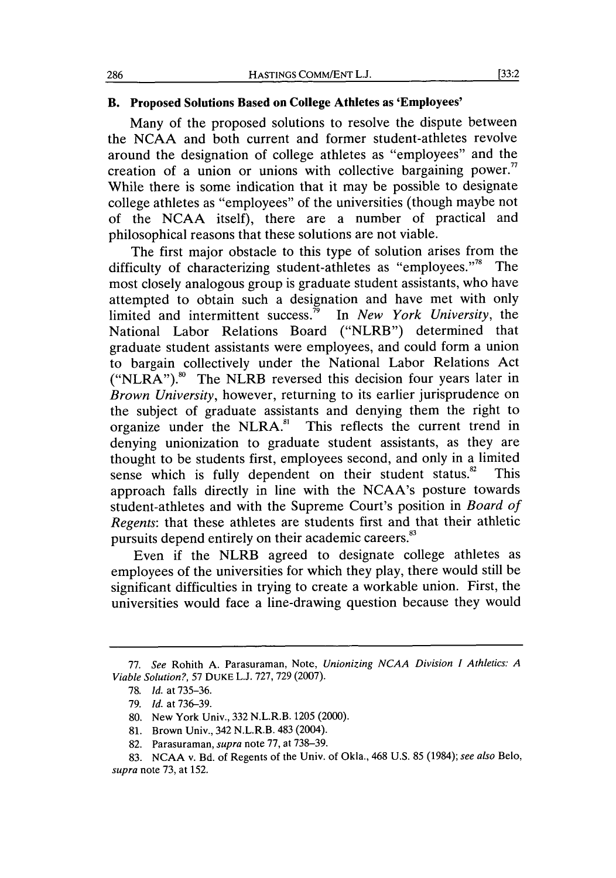#### **B. Proposed Solutions Based on College Athletes as 'Employees'**

Many of the proposed solutions to resolve the dispute between the **NCAA** and both current and former student-athletes revolve around the designation of college athletes as "employees" and the creation of a union or unions with collective bargaining power." While there is some indication that it may be possible to designate college athletes as "employees" of the universities (though maybe not of the **NCAA** itself), there are a number of practical and philosophical reasons that these solutions are not viable.

The first major obstacle to this type of solution arises from the difficulty of characterizing student-athletes as "employees."<sup>8</sup> The most closely analogous group is graduate student assistants, who have attempted to obtain such a designation and have met with only limited and intermittent success." In *New York University, the* National Labor Relations Board ("NLRB") determined that graduate student assistants were employees, and could form a union to bargain collectively under the National Labor Relations Act  $("NLRA")$ .<sup>80</sup> The NLRB reversed this decision four years later in *Brown University,* however, returning to its earlier jurisprudence on the subject of graduate assistants and denying them the right to organize under the NLRA."' This reflects the current trend in denying unionization to graduate student assistants, as they are thought to be students first, employees second, and only in a limited sense which is fully dependent on their student status. $82$  This approach falls directly in line with the NCAA's posture towards student-athletes and with the Supreme Court's position in *Board of Regents:* that these athletes are students first and that their athletic pursuits depend entirely on their academic careers.<sup>83</sup>

Even if the NLRB agreed to designate college athletes as employees of the universities for which they play, there would still be significant difficulties in trying to create a workable union. First, the universities would face a line-drawing question because they would

*<sup>77.</sup> See* Rohith **A.** Parasuraman, Note, *Unionizing NCAA Division I Athletics: A Viable Solution?, 57* **DUKE L.J. 727, 729 (2007).**

**<sup>78.</sup>** *Id. at* **735-36.**

**<sup>79.</sup>** *Id. at* **736-39.**

**<sup>80.</sup>** New York Univ., **332** N.L.R.B. **1205** (2000).

**<sup>81.</sup>** Brown Univ., 342 N.L.R.B. 483 (2004).

**<sup>82.</sup>** Parasuraman, *supra* note **77,** at **738-39.**

**<sup>83.</sup> NCAA** v. Bd. of Regents of the Univ. of Okla., 468 **U.S. 85** (1984); *see also Belo, supra* note **73,** at **152.**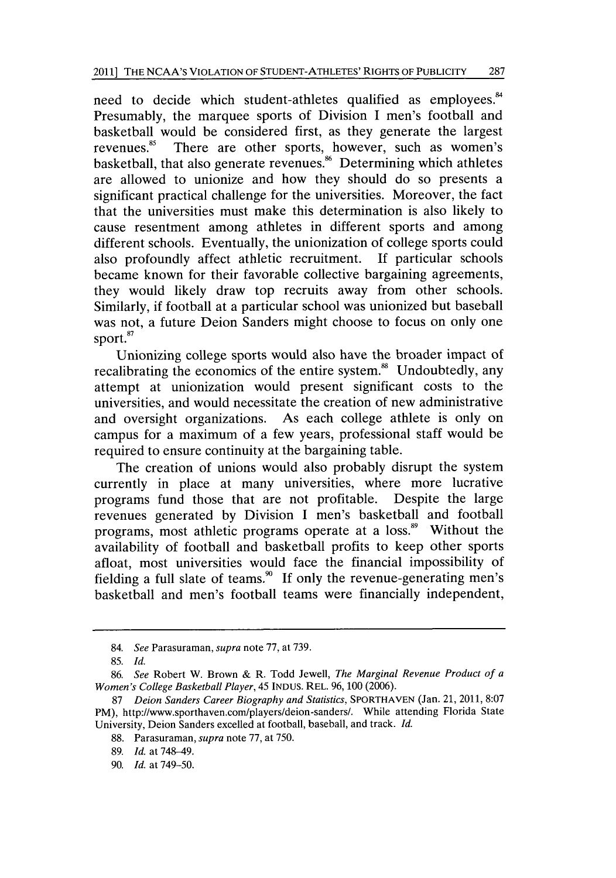need to decide which student-athletes qualified as employees.<sup>84</sup> Presumably, the marquee sports of Division **I** men's football and basketball would be considered first, as they generate the largest revenues.<sup>85</sup> There are other sports, however, such as women's basketball, that also generate revenues.<sup>86</sup> Determining which athletes are allowed to unionize and how they should do so presents a significant practical challenge for the universities. Moreover, the fact that the universities must make this determination is also likely to cause resentment among athletes in different sports and among different schools. Eventually, the unionization of college sports could also profoundly affect athletic recruitment. **If** particular schools became known for their favorable collective bargaining agreements, they would likely draw top recruits away from other schools. Similarly, if football at a particular school was unionized but baseball was not, a future Deion Sanders might choose to focus on only one sport.<sup>87</sup>

Unionizing college sports would also have the broader impact of recalibrating the economics of the entire system.<sup>88</sup> Undoubtedly, any attempt at unionization would present significant costs to the universities, and would necessitate the creation of new administrative and oversight organizations. As each college athlete is only on campus for a maximum of a few years, professional staff would be required to ensure continuity at the bargaining table.

The creation of unions would also probably disrupt the system currently in place at many universities, where more lucrative programs fund those that are not profitable. Despite the large revenues generated **by** Division **I** men's basketball and football programs, most athletic programs operate at a loss.<sup>89</sup> Without the availability of football and basketball profits to keep other sports afloat, most universities would face the financial impossibility of fielding a full slate of teams." **If** only the revenue-generating men's basketball and men's football teams were financially independent,

<sup>84.</sup> *See* Parasuraman, *supra* note **77,** at **739.**

**<sup>85.</sup>** *Id.*

**<sup>86.</sup>** *See* Robert W. Brown **&** R. Todd Jewell, *The Marginal Revenue Product of a Women's College Basketball Player,* 45 **INDUS. REL. 96, 100 (2006).**

**<sup>87</sup>** *Deion Sanders Career Biography and Statistics,* **SPORTHAVEN** (Jan. 21, 2011, **8:07** PM), http://www.sporthaven.com/players/deion-sanders/. While attending Florida State University, Deion Sanders excelled at football, baseball, and track. *Id.*

**<sup>88.</sup>** Parasuraman, *supra* note **77,** at *750.*

**<sup>89.</sup>** *Id.* at 748-49.

**<sup>90.</sup>** *Id.* at **749-50.**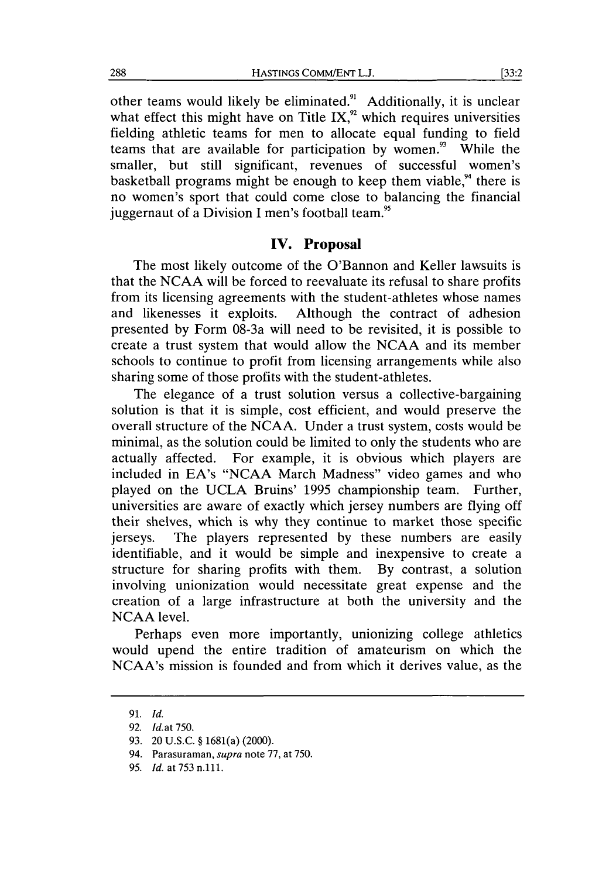other teams would likely be eliminated." Additionally, it is unclear what effect this might have on Title IX, $\frac{9}{2}$  which requires universities fielding athletic teams for men to allocate equal funding to field teams that are available for participation **by** women." While the smaller, but still significant, revenues of successful women's basketball programs might be enough to keep them viable, $94$  there is no women's sport that could come close to balancing the financial juggernaut of a Division I men's football team.<sup>95</sup>

## **IV. Proposal**

The most likely outcome of the O'Bannon and Keller lawsuits is that the **NCAA** will be forced to reevaluate its refusal to share profits from its licensing agreements with the student-athletes whose names and likenesses it exploits. Although the contract of adhesion presented **by** Form 08-3a will need to be revisited, it is possible to create a trust system that would allow the **NCAA** and its member schools to continue to profit from licensing arrangements while also sharing some of those profits with the student-athletes.

The elegance of a trust solution versus a collective-bargaining solution is that it is simple, cost efficient, and would preserve the overall structure of the **NCAA.** Under a trust system, costs would be minimal, as the solution could be limited to only the students who are actually affected. For example, it is obvious which players are included in EA's **"NCAA** March Madness" video games and who played on the **UCLA** Bruins' **1995** championship team. Further, universities are aware of exactly which jersey numbers are flying off their shelves, which is why they continue to market those specific jerseys. The players represented **by** these numbers are easily identifiable, and it would be simple and inexpensive to create a structure for sharing profits with them. **By** contrast, a solution involving unionization would necessitate great expense and the creation of a large infrastructure at both the university and the **NCAA** level.

Perhaps even more importantly, unionizing college athletics would upend the entire tradition of amateurism on which the NCAA's mission is founded and from which it derives value, as the

**<sup>91.</sup>** *Id.*

**<sup>92.</sup>** *Id.at 750.*

**<sup>93.</sup>** 20 **U.S.C. §** 1681(a) (2000).

<sup>94.</sup> Parasuraman, *supra* note **77,** at **750.**

**<sup>95.</sup>** *Id. at* **753** n.111.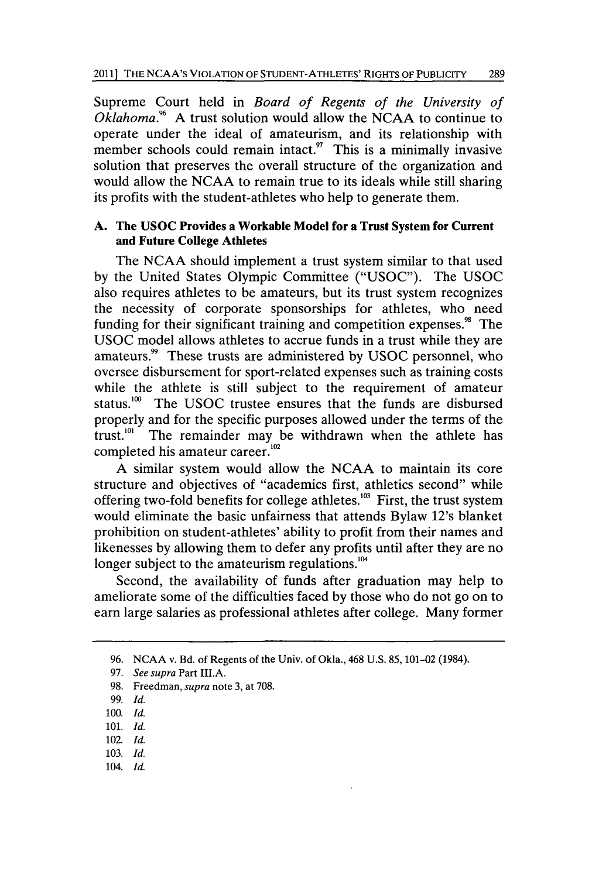Supreme Court held in *Board of Regents of the University of Oklahoma."* **A** trust solution would allow the **NCAA** to continue to operate under the ideal of amateurism, and its relationship with member schools could remain intact. $\frac{9}{2}$  This is a minimally invasive solution that preserves the overall structure of the organization and would allow the **NCAA** to remain true to its ideals while still sharing its profits with the student-athletes who help to generate them.

## **A.** The **USOC** Provides a Workable Model for a Trust System for Current and Future College Athletes

The **NCAA** should implement a trust system similar to that used **by** the United States Olympic Committee **("USOC").** The **USOC** also requires athletes to be amateurs, but its trust system recognizes the necessity of corporate sponsorships for athletes, who need funding for their significant training and competition expenses.<sup>98</sup> The **USOC** model allows athletes to accrue funds in a trust while they are amateurs." These trusts are administered **by USOC** personnel, who oversee disbursement for sport-related expenses such as training costs while the athlete is still subject to the requirement of amateur status.<sup>100</sup> The USOC trustee ensures that the funds are disbursed properly and for the specific purposes allowed under the terms of the trust. $101$  The remainder may be withdrawn when the athlete has completed his amateur career.<sup>102</sup>

**A** similar system would allow the **NCAA** to maintain its core structure and objectives of "academics first, athletics second" while offering two-fold benefits for college athletes.<sup>103</sup> First, the trust system would eliminate the basic unfairness that attends Bylaw 12's blanket prohibition on student-athletes' ability to profit from their names and likenesses **by** allowing them to defer any profits until after they are no longer subject to the amateurism regulations.<sup>104</sup>

Second, the availability of funds after graduation may help to ameliorate some of the difficulties faced **by** those who do not go on to earn large salaries as professional athletes after college. Many former

- 102. *Id.*
- **103. Id.**
- 104. *Id.*

**<sup>96.</sup> NCAA** v. Bd. of Regents of the Univ. of Okla., 468 **U.S.** *85,* 101-02 (1984).

**<sup>97.</sup>** *See supra* Part III.A.

**<sup>98.</sup>** Freedman, *supra* note **3,** at **708.**

**<sup>99.</sup>** *Id.*

**<sup>100.</sup>** *Id.*

**<sup>101.</sup>** *Id.*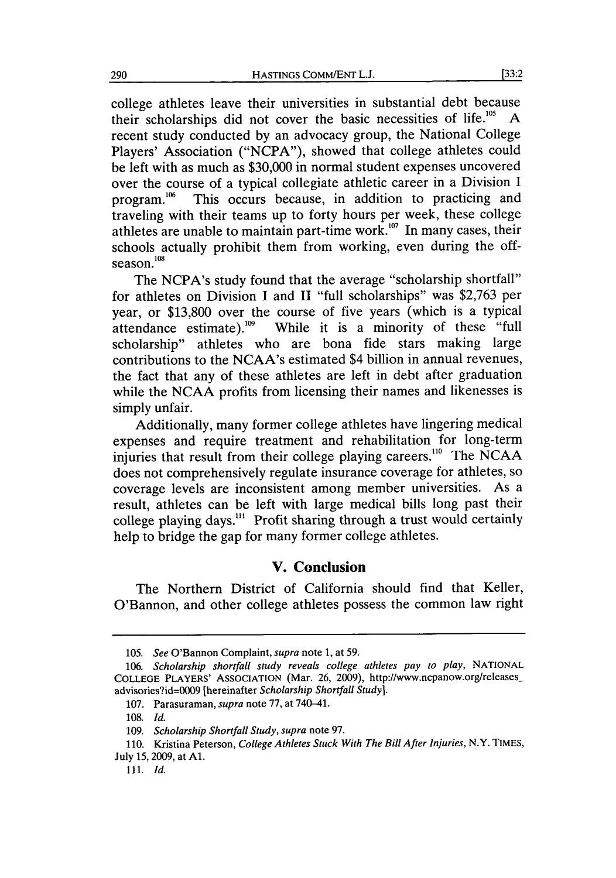college athletes leave their universities in substantial debt because their scholarships did not cover the basic necessities of life.<sup>105</sup> A recent study conducted **by** an advocacy group, the National College Players' Association **("NCPA"),** showed that college athletes could be left with as much as **\$30,000** in normal student expenses uncovered over the course of a typical collegiate athletic career in a Division **I** program.<sup>106</sup> This occurs because, in addition to practicing and traveling with their teams up to forty hours per week, these college athletes are unable to maintain part-time work.<sup>107</sup> In many cases, their schools actually prohibit them from working, even during the offseason. $108$ 

The NCPA's study found that the average "scholarship shortfall" for athletes on Division **I** and II "full scholarships" was **\$2,763** per year, or **\$13,800** over the course of five years (which is a typical attendance estimate)."0 While it is a minority of these "full scholarship" athletes who are bona fide stars making large contributions to the NCAA's estimated \$4 billion in annual revenues, the fact that any of these athletes are left in debt after graduation while the **NCAA** profits from licensing their names and likenesses is simply unfair.

Additionally, many former college athletes have lingering medical expenses and require treatment and rehabilitation for long-term injuries that result from their college playing careers."0 The **NCAA** does not comprehensively regulate insurance coverage for athletes, so coverage levels are inconsistent among member universities. As a result, athletes can be left with large medical bills long past their college playing days."' Profit sharing through a trust would certainly help to bridge the gap for many former college athletes.

# **V. Conclusion**

The Northern District of California should find that Keller, O'Bannon, and other college athletes possess the common law right

*<sup>105.</sup> See* O'Bannon Complaint, *supra* note **1,** at **59.**

*<sup>106.</sup> Scholarship shortfall study reveals college athletes pay to play,* **NATIONAL COLLEGE** PLAYERS' ASSOCIATION (Mar. **26, 2009),** http://www.ncpanow.org/releasesadvisories?id=0009 [hereinafter *Scholarship Shortfall Study].*

**<sup>107.</sup>** Parasuraman, *supra* note **77,** at 740-41.

**<sup>108.</sup>** *Id.*

*<sup>109.</sup> Scholarship Shortfall Study, supra* note **97.**

**<sup>110.</sup>** Kristina Peterson, *College Athletes Stuck With The Bill After Injuries,* N.Y. TIMES, July **15, 2009,** at **Al.**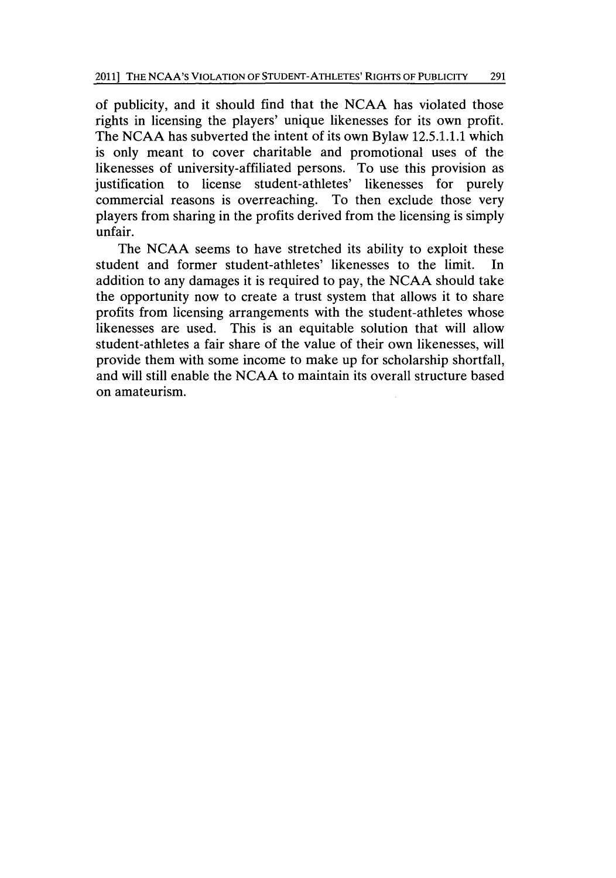of publicity, and it should find that the **NCAA** has violated those rights in licensing the players' unique likenesses for its own profit. The **NCAA** has subverted the intent of its own Bylaw **12.5.1.1.1** which is only meant to cover charitable and promotional uses of the likenesses of university-affiliated persons. To use this provision as justification to license student-athletes' likenesses for purely commercial reasons is overreaching. To then exclude those very players from sharing in the profits derived from the licensing is simply unfair.

The **NCAA** seems to have stretched its ability to exploit these student and former student-athletes' likenesses to the limit. In addition to any damages it is required to pay, the **NCAA** should take the opportunity now to create a trust system that allows it to share profits from licensing arrangements with the student-athletes whose likenesses are used. This is an equitable solution that will allow student-athletes a fair share of the value of their own likenesses, will provide them with some income to make up for scholarship shortfall, and will still enable the **NCAA** to maintain its overall structure based on amateurism.